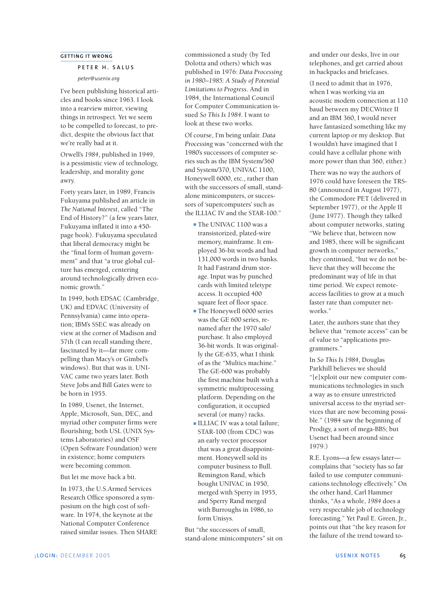## **GETTING IT WRONG**

## **PETER H. SALUS**

*peter@usenix.org*

I've been publishing historical articles and books since 1963. I look into a rearview mirror, viewing things in retrospect. Yet we seem to be compelled to forecast, to predict, despite the obvious fact that we're really bad at it.

Orwell's *1984*, published in 1949, is a pessimistic view of technology, leadership, and morality gone awry.

Forty years later, in 1989, Francis Fukuyama published an article in *The National Interest*, called "The End of History?" (a few years later, Fukuyama inflated it into a 450 page book). Fukuyama speculated that liberal democracy might be the "final form of human government" and that "a true global culture has emerged, centering around technologically driven economic growth."

In 1949, both EDSAC (Cambridge, UK) and EDVAC (University of Pennsylvania) came into operation; IBM's SSEC was already on view at the corner of Madison and 57th (I can recall standing there, fascinated by it—far more compelling than Macy's or Gimbel's windows). But that was it. UNI-VAC came two years later. Both Steve Jobs and Bill Gates were to be born in 1955.

In 1989, Usenet, the Internet, Apple, Microsoft, Sun, DEC, and myriad other computer firms were flourishing; both USL (UNIX Systems Laboratories) and OSF (Open Software Foundation) were in existence; home computers were becoming common.

But let me move back a bit.

In 1973, the U.S.Armed Services Research Office sponsored a symposium on the high cost of software. In 1974, the keynote at the National Computer Conference raised similar issues. Then SHARE commissioned a study (by Ted Dolotta and others) which was published in 1976: *Data Processing in 1980–1985: A Study of Potential Limitations to Progress*. And in 1984, the International Council for Computer Communication issued *So This Is 1984*. I want to look at these two works.

Of course, I'm being unfair. *Data Processing* was "concerned with the 1980's successors of computer series such as the IBM System/360 and System/370, UNIVAC 1100, Honeywell 6000, etc., rather than with the successors of small, standalone minicomputers, or successors of 'supercomputers' such as the ILLIAC IV and the STAR-100."

- **■** The UNIVAC 1100 was a transistorized, plated-wire memory, mainframe. It employed 36-bit words and had 131,000 words in two banks. It had Fastrand drum storage. Input was by punched cards with limited teletype access. It occupied 400 square feet of floor space.
- **■** The Honeywell 6000 series was the GE 600 series, renamed after the 1970 sale/ purchase. It also employed 36-bit words. It was originally the GE-635, what I think of as the "Multics machine." The GE-600 was probably the first machine built with a symmetric multiprocessing platform. Depending on the configuration, it occupied several (or many) racks.
- **■** ILLIAC IV was a total failure; STAR-100 (from CDC) was an early vector processor that was a great disappointment. Honeywell sold its computer business to Bull. Remington Rand, which bought UNIVAC in 1950, merged with Sperry in 1955, and Sperry Rand merged with Burroughs in 1986, to form Unisys.

But "the successors of small, stand-alone minicomputers" sit on and under our desks, live in our telephones, and get carried about in backpacks and briefcases.

(I need to admit that in 1976, when I was working via an acoustic modem connection at 110 baud between my DECWriter II and an IBM 360, I would never have fantasized something like my current laptop or my desktop. But I wouldn't have imagined that I could have a cellular phone with more power than that 360, either.)

There was no way the authors of 1976 could have foreseen the TRS-80 (announced in August 1977), the Commodore PET (delivered in September 1977), or the Apple II (June 1977). Though they talked about computer networks, stating "We believe that, between now and 1985, there will be significant growth in computer networks," they continued, "but we do not believe that they will become the predominant way of life in that time period. We expect remoteaccess facilities to grow at a much faster rate than computer networks."

Later, the authors state that they believe that "remote access" can be of value to "applications programmers."

In *So This Is 1984*, Douglas Parkhill believes we should "[e]xploit our new computer communications technologies in such a way as to ensure unrestricted universal access to the myriad services that are now becoming possible." (1984 saw the beginning of Prodigy, a sort of mega-BBS; but Usenet had been around since 1979.)

R.E. Lyons—a few essays later complains that "society has so far failed to use computer communications technology effectively." On the other hand, Carl Hammer thinks, "As a whole, *1984* does a very respectable job of technology forecasting." Yet Paul E. Green, Jr., points out that "the key reason for the failure of the trend toward to-